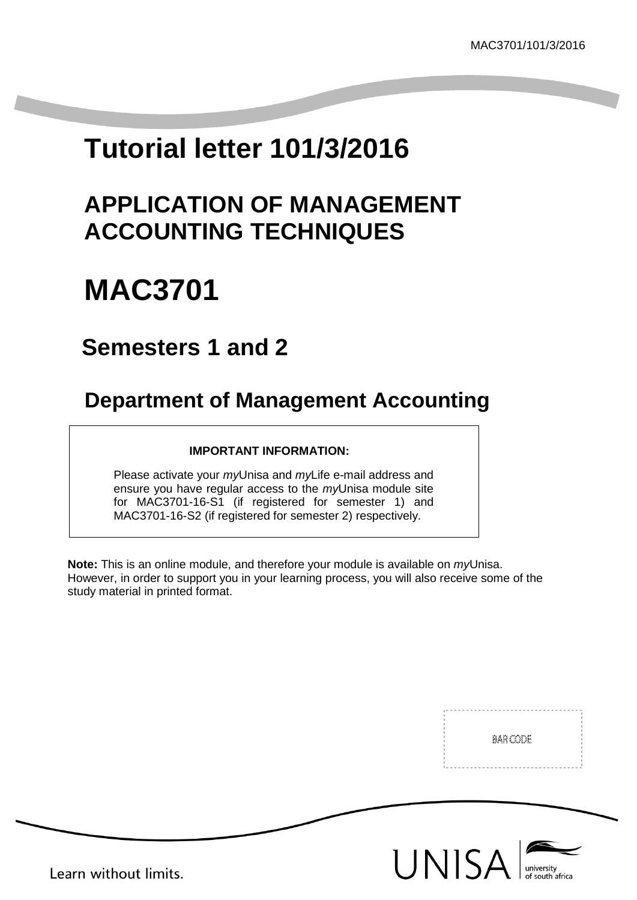# **Tutorial letter 101/3/2016**

## **APPLICATION OF MANAGEMENT ACCOUNTING TECHNIQUES**

# **MAC3701**

## **Semesters 1 and 2**

## **Department of Management Accounting**

### **IMPORTANT INFORMATION:**

Please activate your *my*Unisa and *my*Life e-mail address and ensure you have regular access to the *my*Unisa module site for MAC3701-16-S1 (if registered for semester 1) and MAC3701-16-S2 (if registered for semester 2) respectively.

**Note:** This is an online module, and therefore your module is available on *my*Unisa. However, in order to support you in your learning process, you will also receive some of the study material in printed format.

BAR CODE





Learn without limits.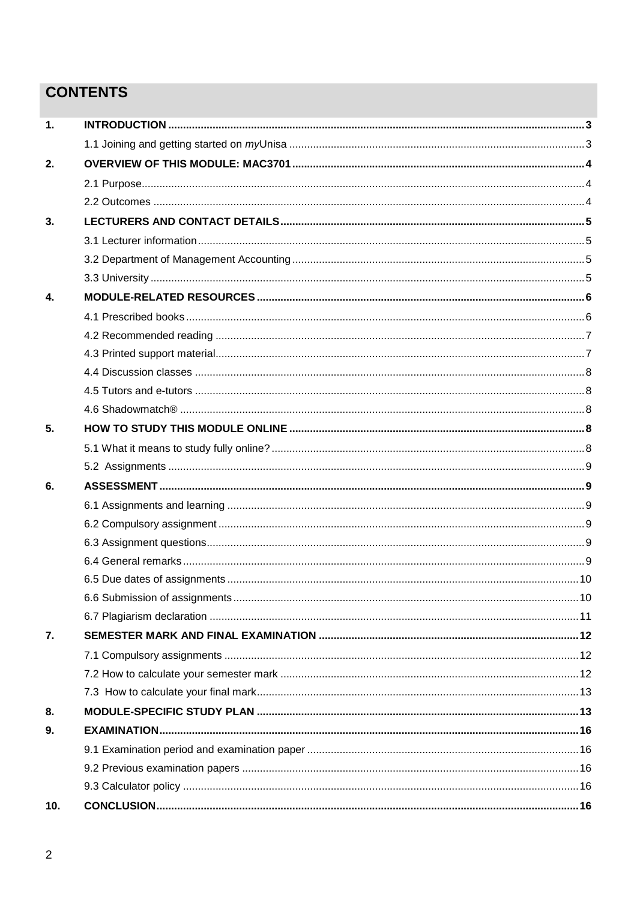## **CONTENTS**

| $\mathbf 1$ |  |
|-------------|--|
|             |  |
| 2.          |  |
|             |  |
|             |  |
| 3.          |  |
|             |  |
|             |  |
|             |  |
| 4.          |  |
|             |  |
|             |  |
|             |  |
|             |  |
|             |  |
|             |  |
| 5.          |  |
|             |  |
|             |  |
| 6.          |  |
|             |  |
|             |  |
|             |  |
|             |  |
|             |  |
|             |  |
|             |  |
| 7.          |  |
|             |  |
|             |  |
|             |  |
| 8.          |  |
| 9.          |  |
|             |  |
|             |  |
|             |  |
| 10.         |  |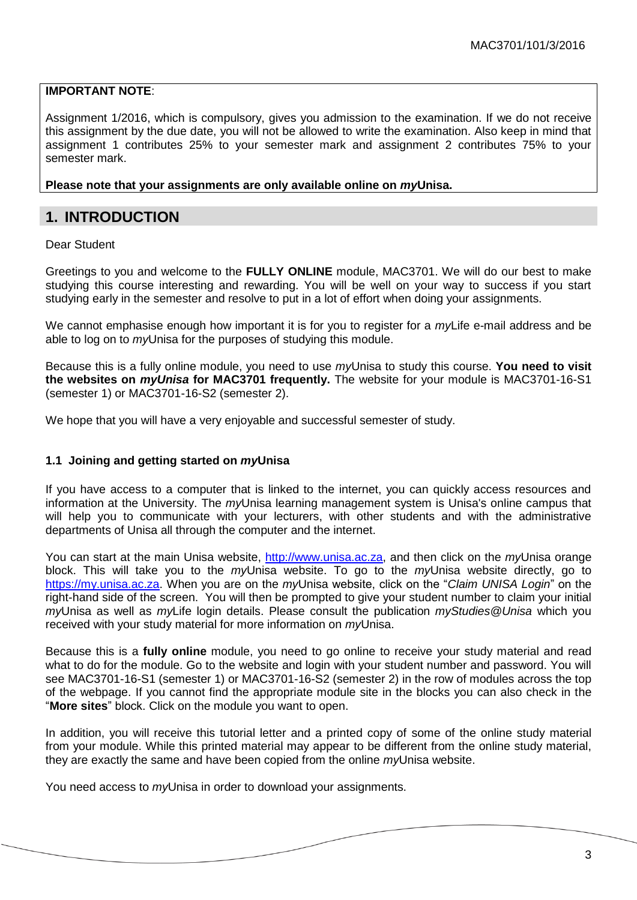#### **IMPORTANT NOTE**:

Assignment 1/2016, which is compulsory, gives you admission to the examination. If we do not receive this assignment by the due date, you will not be allowed to write the examination. Also keep in mind that assignment 1 contributes 25% to your semester mark and assignment 2 contributes 75% to your semester mark.

#### **Please note that your assignments are only available online on** *my***Unisa.**

### <span id="page-2-0"></span>**1. INTRODUCTION**

#### Dear Student

Greetings to you and welcome to the **FULLY ONLINE** module, MAC3701. We will do our best to make studying this course interesting and rewarding. You will be well on your way to success if you start studying early in the semester and resolve to put in a lot of effort when doing your assignments.

We cannot emphasise enough how important it is for you to register for a *my*Life e-mail address and be able to log on to *my*Unisa for the purposes of studying this module.

Because this is a fully online module, you need to use *my*Unisa to study this course. **You need to visit the websites on** *myUnisa* **for MAC3701 frequently.** The website for your module is MAC3701-16-S1 (semester 1) or MAC3701-16-S2 (semester 2).

We hope that you will have a very enjoyable and successful semester of study.

#### <span id="page-2-1"></span>**1.1 Joining and getting started on** *my***Unisa**

If you have access to a computer that is linked to the internet, you can quickly access resources and information at the University. The *my*Unisa learning management system is Unisa's online campus that will help you to communicate with your lecturers, with other students and with the administrative departments of Unisa all through the computer and the internet.

You can start at the main Unisa website, [http://www.unisa.ac.za,](http://www.unisa.ac.za/) and then click on the *my*Unisa orange block. This will take you to the *my*Unisa website. To go to the *my*Unisa website directly, go to [https://my.unisa.ac.za.](https://my.unisa.ac.za/) When you are on the *my*Unisa website, click on the "*Claim UNISA Login*" on the right-hand side of the screen. You will then be prompted to give your student number to claim your initial *my*Unisa as well as *my*Life login details. Please consult the publication *myStudies@Unisa* which you received with your study material for more information on *my*Unisa.

Because this is a **fully online** module, you need to go online to receive your study material and read what to do for the module. Go to the website and login with your student number and password. You will see MAC3701-16-S1 (semester 1) or MAC3701-16-S2 (semester 2) in the row of modules across the top of the webpage. If you cannot find the appropriate module site in the blocks you can also check in the "**More sites**" block. Click on the module you want to open.

In addition, you will receive this tutorial letter and a printed copy of some of the online study material from your module. While this printed material may appear to be different from the online study material, they are exactly the same and have been copied from the online *my*Unisa website.

You need access to *my*Unisa in order to download your assignments.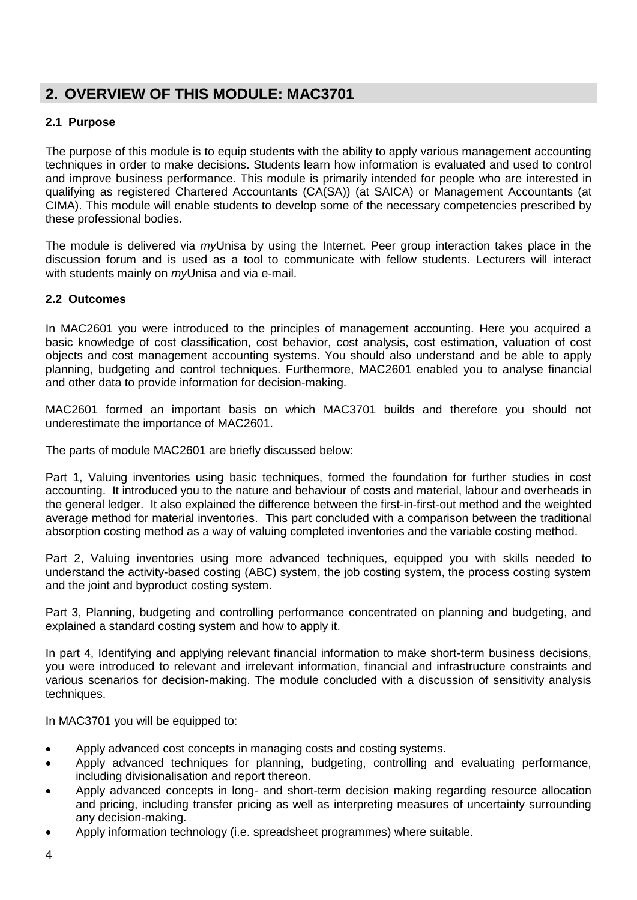## <span id="page-3-0"></span>**2. OVERVIEW OF THIS MODULE: MAC3701**

#### <span id="page-3-1"></span>**2.1 Purpose**

The purpose of this module is to equip students with the ability to apply various management accounting techniques in order to make decisions. Students learn how information is evaluated and used to control and improve business performance. This module is primarily intended for people who are interested in qualifying as registered Chartered Accountants (CA(SA)) (at SAICA) or Management Accountants (at CIMA). This module will enable students to develop some of the necessary competencies prescribed by these professional bodies.

The module is delivered via *my*Unisa by using the Internet. Peer group interaction takes place in the discussion forum and is used as a tool to communicate with fellow students. Lecturers will interact with students mainly on *my*Unisa and via e-mail.

#### <span id="page-3-2"></span>**2.2 Outcomes**

In MAC2601 you were introduced to the principles of management accounting. Here you acquired a basic knowledge of cost classification, cost behavior, cost analysis, cost estimation, valuation of cost objects and cost management accounting systems. You should also understand and be able to apply planning, budgeting and control techniques. Furthermore, MAC2601 enabled you to analyse financial and other data to provide information for decision-making.

MAC2601 formed an important basis on which MAC3701 builds and therefore you should not underestimate the importance of MAC2601.

The parts of module MAC2601 are briefly discussed below:

Part 1, Valuing inventories using basic techniques, formed the foundation for further studies in cost accounting. It introduced you to the nature and behaviour of costs and material, labour and overheads in the general ledger. It also explained the difference between the first-in-first-out method and the weighted average method for material inventories. This part concluded with a comparison between the traditional absorption costing method as a way of valuing completed inventories and the variable costing method.

Part 2, Valuing inventories using more advanced techniques, equipped you with skills needed to understand the activity-based costing (ABC) system, the job costing system, the process costing system and the joint and byproduct costing system.

Part 3, Planning, budgeting and controlling performance concentrated on planning and budgeting, and explained a standard costing system and how to apply it.

In part 4, Identifying and applying relevant financial information to make short-term business decisions, you were introduced to relevant and irrelevant information, financial and infrastructure constraints and various scenarios for decision-making. The module concluded with a discussion of sensitivity analysis techniques.

In MAC3701 you will be equipped to:

- Apply advanced cost concepts in managing costs and costing systems.
- Apply advanced techniques for planning, budgeting, controlling and evaluating performance, including divisionalisation and report thereon.
- Apply advanced concepts in long- and short-term decision making regarding resource allocation and pricing, including transfer pricing as well as interpreting measures of uncertainty surrounding any decision-making.
- Apply information technology (i.e. spreadsheet programmes) where suitable.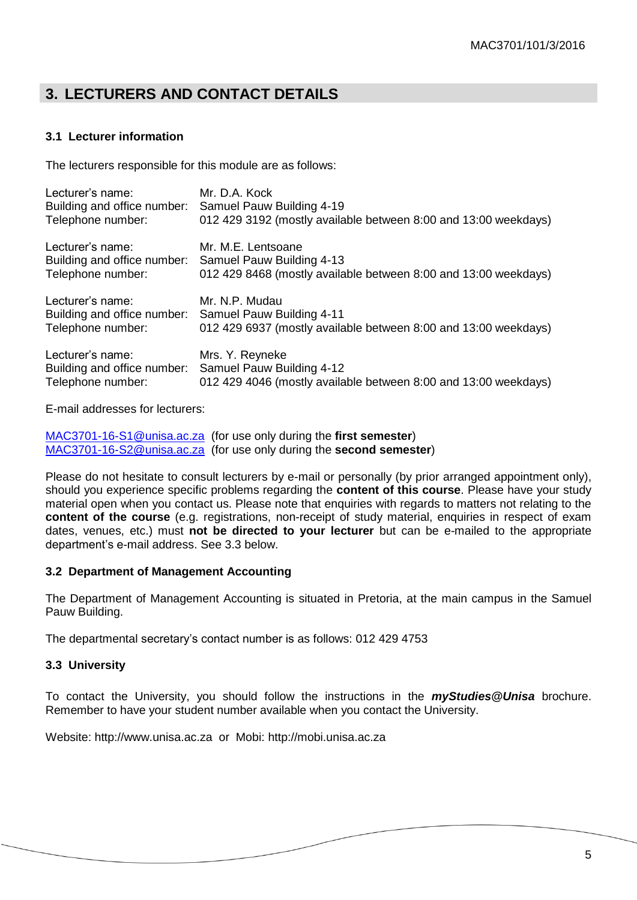## <span id="page-4-0"></span>**3. LECTURERS AND CONTACT DETAILS**

#### <span id="page-4-1"></span>**3.1 Lecturer information**

The lecturers responsible for this module are as follows:

| Lecturer's name:            | Mr. D.A. Kock                                                   |
|-----------------------------|-----------------------------------------------------------------|
| Building and office number: | Samuel Pauw Building 4-19                                       |
| Telephone number:           | 012 429 3192 (mostly available between 8:00 and 13:00 weekdays) |
| Lecturer's name:            | Mr. M.E. Lentsoane                                              |
| Building and office number: | Samuel Pauw Building 4-13                                       |
| Telephone number:           | 012 429 8468 (mostly available between 8:00 and 13:00 weekdays) |
| Lecturer's name:            | Mr. N.P. Mudau                                                  |
| Building and office number: | Samuel Pauw Building 4-11                                       |
| Telephone number:           | 012 429 6937 (mostly available between 8:00 and 13:00 weekdays) |
| Lecturer's name:            | Mrs. Y. Reyneke                                                 |
| Building and office number: | Samuel Pauw Building 4-12                                       |
| Telephone number:           | 012 429 4046 (mostly available between 8:00 and 13:00 weekdays) |

E-mail addresses for lecturers:

[MAC3701-16-S1@unisa.ac.za](mailto:MAC3701-16-S1@unisa.ac.za) (for use only during the **first semester**) [MAC3701-16-S2@unisa.ac.za](mailto:MAC3701-16-S2@unisa.ac.za) (for use only during the **second semester**)

Please do not hesitate to consult lecturers by e-mail or personally (by prior arranged appointment only), should you experience specific problems regarding the **content of this course**. Please have your study material open when you contact us. Please note that enquiries with regards to matters not relating to the **content of the course** (e.g. registrations, non-receipt of study material, enquiries in respect of exam dates, venues, etc.) must **not be directed to your lecturer** but can be e-mailed to the appropriate department's e-mail address. See 3.3 below.

#### **3.2 Department of Management Accounting**

The Department of Management Accounting is situated in Pretoria, at the main campus in the Samuel Pauw Building.

The departmental secretary's contact number is as follows: 012 429 4753

#### <span id="page-4-2"></span>**3.3 University**

To contact the University, you should follow the instructions in the *myStudies@Unisa* brochure. Remember to have your student number available when you contact the University.

Website: http://www.unisa.ac.za or Mobi: [http://mobi.unisa.ac.za](http://mobi.unisa.ac.za/)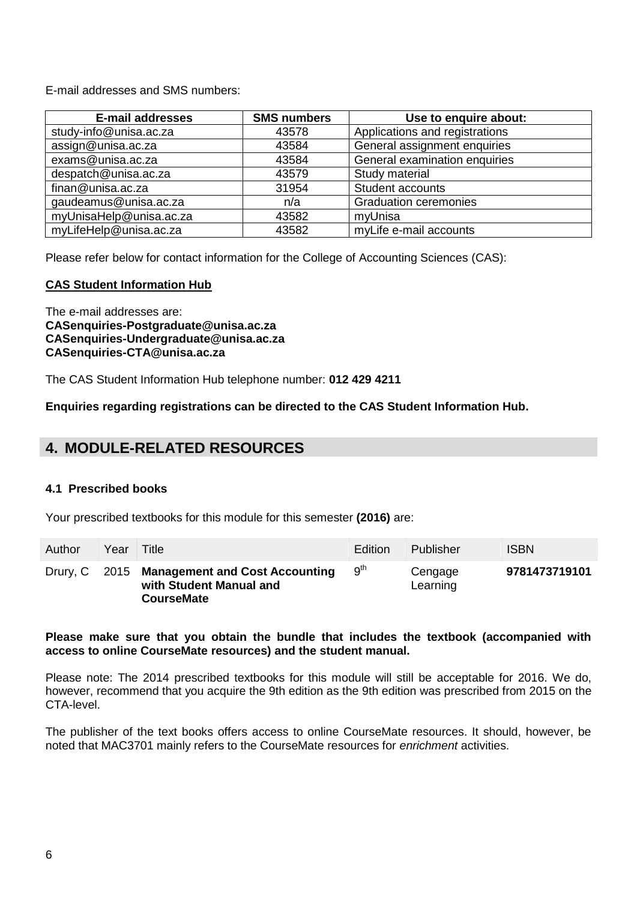E-mail addresses and SMS numbers:

| <b>E-mail addresses</b> | <b>SMS numbers</b> | Use to enquire about:          |
|-------------------------|--------------------|--------------------------------|
| study-info@unisa.ac.za  | 43578              | Applications and registrations |
| assign@unisa.ac.za      | 43584              | General assignment enquiries   |
| exams@unisa.ac.za       | 43584              | General examination enquiries  |
| despatch@unisa.ac.za    | 43579              | Study material                 |
| finan@unisa.ac.za       | 31954              | <b>Student accounts</b>        |
| gaudeamus@unisa.ac.za   | n/a                | <b>Graduation ceremonies</b>   |
| myUnisaHelp@unisa.ac.za | 43582              | myUnisa                        |
| myLifeHelp@unisa.ac.za  | 43582              | myLife e-mail accounts         |

Please refer below for contact information for the College of Accounting Sciences (CAS):

#### **CAS Student Information Hub**

The e-mail addresses are: **[CASenquiries-Postgraduate@unisa.ac.za](https://mobile.unisa.ac.za/OWA/redir.aspx?C=52j4v4_fyUmtBoRCcbL8o9e8CkKoQ9FIklxiuW4UyyH-G1oUhJXUUiDaeJU_VXBn4lcVxwUUc_Q.&URL=mailto%3aCASenquiries-Postgraduate%40unisa.ac.za) [CASenquiries-Undergraduate@unisa.ac.za](https://mobile.unisa.ac.za/OWA/redir.aspx?C=52j4v4_fyUmtBoRCcbL8o9e8CkKoQ9FIklxiuW4UyyH-G1oUhJXUUiDaeJU_VXBn4lcVxwUUc_Q.&URL=mailto%3aCASenquiries-Undergraduate%40unisa.ac.za) [CASenquiries-CTA@unisa.ac.za](https://mobile.unisa.ac.za/OWA/redir.aspx?C=52j4v4_fyUmtBoRCcbL8o9e8CkKoQ9FIklxiuW4UyyH-G1oUhJXUUiDaeJU_VXBn4lcVxwUUc_Q.&URL=mailto%3aCASenquiries-CTA%40unisa.ac.za)**

The CAS Student Information Hub telephone number: **012 429 4211**

**Enquiries regarding registrations can be directed to the CAS Student Information Hub.**

## <span id="page-5-0"></span>**4. MODULE-RELATED RESOURCES**

#### <span id="page-5-1"></span>**4.1 Prescribed books**

Your prescribed textbooks for this module for this semester **(2016)** are:

| Author | Year | Title                                                                                        | <b>Edition</b>  | Publisher           | <b>ISBN</b>   |
|--------|------|----------------------------------------------------------------------------------------------|-----------------|---------------------|---------------|
|        |      | Drury, C 2015 Management and Cost Accounting<br>with Student Manual and<br><b>CourseMate</b> | g <sup>th</sup> | Cengage<br>Learning | 9781473719101 |

#### **Please make sure that you obtain the bundle that includes the textbook (accompanied with access to online CourseMate resources) and the student manual.**

Please note: The 2014 prescribed textbooks for this module will still be acceptable for 2016. We do, however, recommend that you acquire the 9th edition as the 9th edition was prescribed from 2015 on the CTA-level.

The publisher of the text books offers access to online CourseMate resources. It should, however, be noted that MAC3701 mainly refers to the CourseMate resources for *enrichment* activities.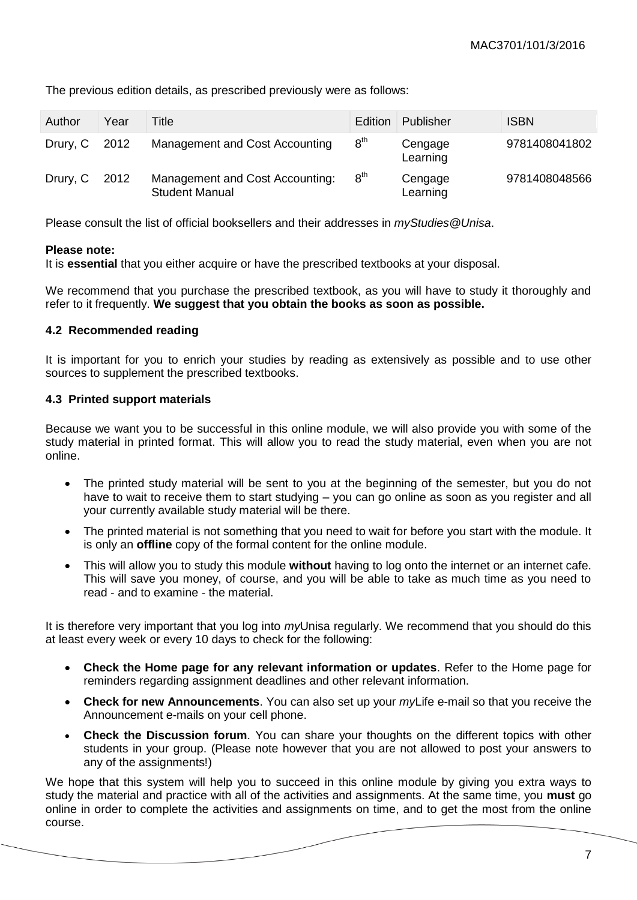| Author        | Year | Title                                                    | <b>Edition</b>  | Publisher           | <b>ISBN</b>   |
|---------------|------|----------------------------------------------------------|-----------------|---------------------|---------------|
| Drury, C 2012 |      | Management and Cost Accounting                           | 8 <sup>th</sup> | Cengage<br>Learning | 9781408041802 |
| Drury, C 2012 |      | Management and Cost Accounting:<br><b>Student Manual</b> | $8^{\sf th}$    | Cengage<br>Learning | 9781408048566 |

The previous edition details, as prescribed previously were as follows:

Please consult the list of official booksellers and their addresses in *myStudies@Unisa*.

#### **Please note:**

It is **essential** that you either acquire or have the prescribed textbooks at your disposal.

We recommend that you purchase the prescribed textbook, as you will have to study it thoroughly and refer to it frequently. **We suggest that you obtain the books as soon as possible.**

#### <span id="page-6-0"></span>**4.2 Recommended reading**

It is important for you to enrich your studies by reading as extensively as possible and to use other sources to supplement the prescribed textbooks.

#### <span id="page-6-1"></span>**4.3 Printed support materials**

Because we want you to be successful in this online module, we will also provide you with some of the study material in printed format. This will allow you to read the study material, even when you are not online.

- The printed study material will be sent to you at the beginning of the semester, but you do not have to wait to receive them to start studying – you can go online as soon as you register and all your currently available study material will be there.
- The printed material is not something that you need to wait for before you start with the module. It is only an **offline** copy of the formal content for the online module.
- This will allow you to study this module **without** having to log onto the internet or an internet cafe. This will save you money, of course, and you will be able to take as much time as you need to read - and to examine - the material.

It is therefore very important that you log into *my*Unisa regularly. We recommend that you should do this at least every week or every 10 days to check for the following:

- **Check the Home page for any relevant information or updates**. Refer to the Home page for reminders regarding assignment deadlines and other relevant information.
- **Check for new Announcements**. You can also set up your *my*Life e-mail so that you receive the Announcement e-mails on your cell phone.
- **Check the Discussion forum**. You can share your thoughts on the different topics with other students in your group. (Please note however that you are not allowed to post your answers to any of the assignments!)

We hope that this system will help you to succeed in this online module by giving you extra ways to study the material and practice with all of the activities and assignments. At the same time, you **must** go online in order to complete the activities and assignments on time, and to get the most from the online course.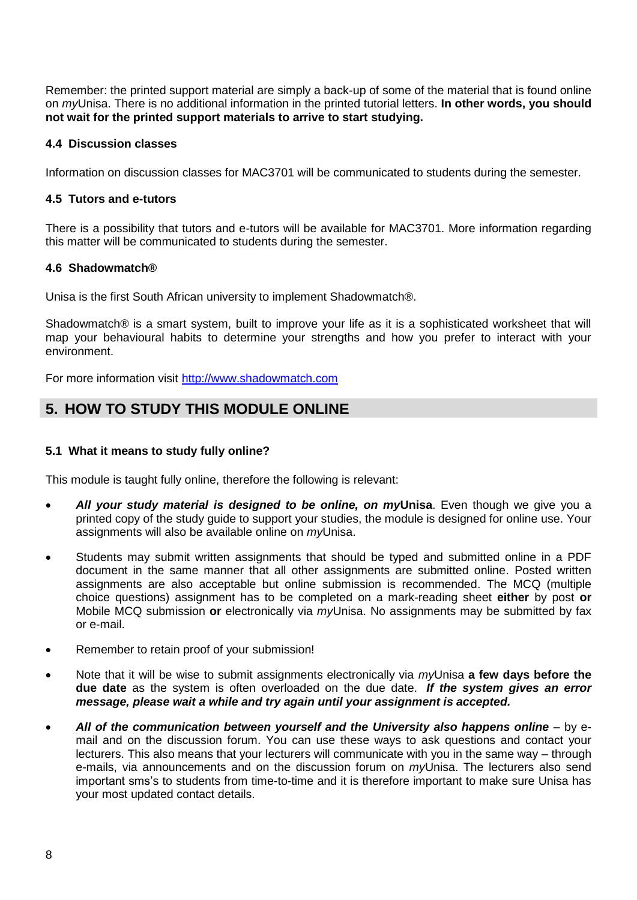Remember: the printed support material are simply a back-up of some of the material that is found online on *my*Unisa. There is no additional information in the printed tutorial letters. **In other words, you should not wait for the printed support materials to arrive to start studying.**

#### <span id="page-7-0"></span>**4.4 Discussion classes**

Information on discussion classes for MAC3701 will be communicated to students during the semester.

#### <span id="page-7-1"></span>**4.5 Tutors and e-tutors**

There is a possibility that tutors and e-tutors will be available for MAC3701. More information regarding this matter will be communicated to students during the semester.

#### <span id="page-7-2"></span>**4.6 Shadowmatch®**

Unisa is the first South African university to implement Shadowmatch®.

Shadowmatch® is a smart system, built to improve your life as it is a sophisticated worksheet that will map your behavioural habits to determine your strengths and how you prefer to interact with your environment.

For more information visit [http://www.shadowmatch.com](http://www.shadowmatch.com/)

## <span id="page-7-3"></span>**5. HOW TO STUDY THIS MODULE ONLINE**

#### <span id="page-7-4"></span>**5.1 What it means to study fully online?**

This module is taught fully online, therefore the following is relevant:

- *All your study material is designed to be online, on my***Unisa**. Even though we give you a printed copy of the study guide to support your studies, the module is designed for online use. Your assignments will also be available online on *my*Unisa.
- Students may submit written assignments that should be typed and submitted online in a PDF document in the same manner that all other assignments are submitted online. Posted written assignments are also acceptable but online submission is recommended. The MCQ (multiple choice questions) assignment has to be completed on a mark-reading sheet **either** by post **or** Mobile MCQ submission **or** electronically via *my*Unisa. No assignments may be submitted by fax or e-mail.
- Remember to retain proof of your submission!
- Note that it will be wise to submit assignments electronically via *my*Unisa **a few days before the due date** as the system is often overloaded on the due date. *If the system gives an error message, please wait a while and try again until your assignment is accepted.*
- <span id="page-7-5"></span> *All of the communication between yourself and the University also happens online* – by email and on the discussion forum. You can use these ways to ask questions and contact your lecturers. This also means that your lecturers will communicate with you in the same way – through e-mails, via announcements and on the discussion forum on *my*Unisa. The lecturers also send important sms's to students from time-to-time and it is therefore important to make sure Unisa has your most updated contact details.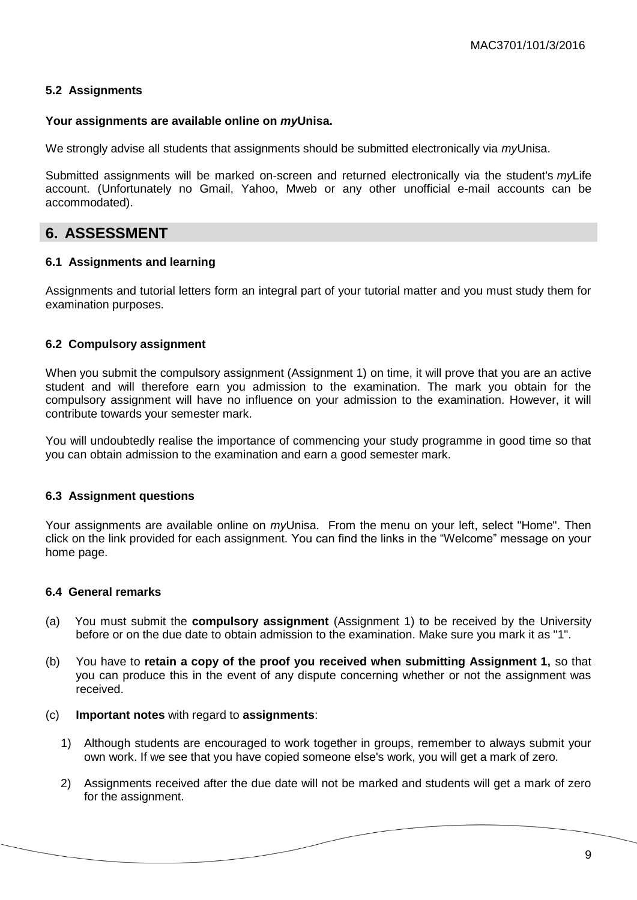#### **5.2 Assignments**

#### **Your assignments are available online on** *my***Unisa.**

We strongly advise all students that assignments should be submitted electronically via *my*Unisa.

Submitted assignments will be marked on-screen and returned electronically via the student's *my*Life account. (Unfortunately no Gmail, Yahoo, Mweb or any other unofficial e-mail accounts can be accommodated).

## <span id="page-8-0"></span>**6. ASSESSMENT**

#### <span id="page-8-1"></span>**6.1 Assignments and learning**

Assignments and tutorial letters form an integral part of your tutorial matter and you must study them for examination purposes.

#### <span id="page-8-2"></span>**6.2 Compulsory assignment**

When you submit the compulsory assignment (Assignment 1) on time, it will prove that you are an active student and will therefore earn you admission to the examination. The mark you obtain for the compulsory assignment will have no influence on your admission to the examination. However, it will contribute towards your semester mark.

You will undoubtedly realise the importance of commencing your study programme in good time so that you can obtain admission to the examination and earn a good semester mark.

#### <span id="page-8-3"></span>**6.3 Assignment questions**

Your assignments are available online on *my*Unisa. From the menu on your left, select "Home". Then click on the link provided for each assignment. You can find the links in the "Welcome" message on your home page.

#### <span id="page-8-4"></span>**6.4 General remarks**

- (a) You must submit the **compulsory assignment** (Assignment 1) to be received by the University before or on the due date to obtain admission to the examination. Make sure you mark it as "1".
- (b) You have to **retain a copy of the proof you received when submitting Assignment 1,** so that you can produce this in the event of any dispute concerning whether or not the assignment was received.
- (c) **Important notes** with regard to **assignments**:
	- 1) Although students are encouraged to work together in groups, remember to always submit your own work. If we see that you have copied someone else's work, you will get a mark of zero.
	- 2) Assignments received after the due date will not be marked and students will get a mark of zero for the assignment.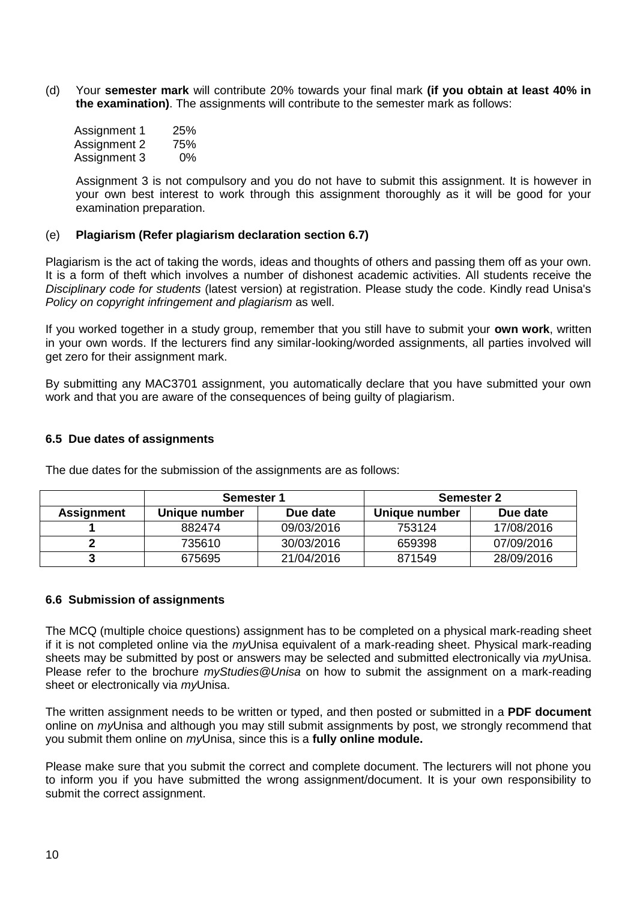(d) Your **semester mark** will contribute 20% towards your final mark **(if you obtain at least 40% in the examination)**. The assignments will contribute to the semester mark as follows:

| Assignment 1 | 25%   |
|--------------|-------|
| Assignment 2 | 75%   |
| Assignment 3 | $0\%$ |

Assignment 3 is not compulsory and you do not have to submit this assignment. It is however in your own best interest to work through this assignment thoroughly as it will be good for your examination preparation.

#### (e) **Plagiarism (Refer plagiarism declaration section 6.7)**

Plagiarism is the act of taking the words, ideas and thoughts of others and passing them off as your own. It is a form of theft which involves a number of dishonest academic activities. All students receive the *Disciplinary code for students* (latest version) at registration. Please study the code. Kindly read Unisa's *Policy on copyright infringement and plagiarism* as well.

If you worked together in a study group, remember that you still have to submit your **own work**, written in your own words. If the lecturers find any similar-looking/worded assignments, all parties involved will get zero for their assignment mark.

By submitting any MAC3701 assignment, you automatically declare that you have submitted your own work and that you are aware of the consequences of being guilty of plagiarism.

#### <span id="page-9-0"></span>**6.5 Due dates of assignments**

|                   | Semester 1    |            | <b>Semester 2</b> |            |
|-------------------|---------------|------------|-------------------|------------|
| <b>Assignment</b> | Unique number | Due date   | Unique number     | Due date   |
|                   | 882474        | 09/03/2016 | 753124            | 17/08/2016 |
|                   | 735610        | 30/03/2016 | 659398            | 07/09/2016 |
|                   | 675695        | 21/04/2016 | 871549            | 28/09/2016 |

The due dates for the submission of the assignments are as follows:

#### <span id="page-9-1"></span>**6.6 Submission of assignments**

The MCQ (multiple choice questions) assignment has to be completed on a physical mark-reading sheet if it is not completed online via the *my*Unisa equivalent of a mark-reading sheet. Physical mark-reading sheets may be submitted by post or answers may be selected and submitted electronically via *my*Unisa. Please refer to the brochure *myStudies@Unisa* on how to submit the assignment on a mark-reading sheet or electronically via *my*Unisa.

The written assignment needs to be written or typed, and then posted or submitted in a **PDF document** online on *my*Unisa and although you may still submit assignments by post, we strongly recommend that you submit them online on *my*Unisa, since this is a **fully online module.** 

Please make sure that you submit the correct and complete document. The lecturers will not phone you to inform you if you have submitted the wrong assignment/document. It is your own responsibility to submit the correct assignment.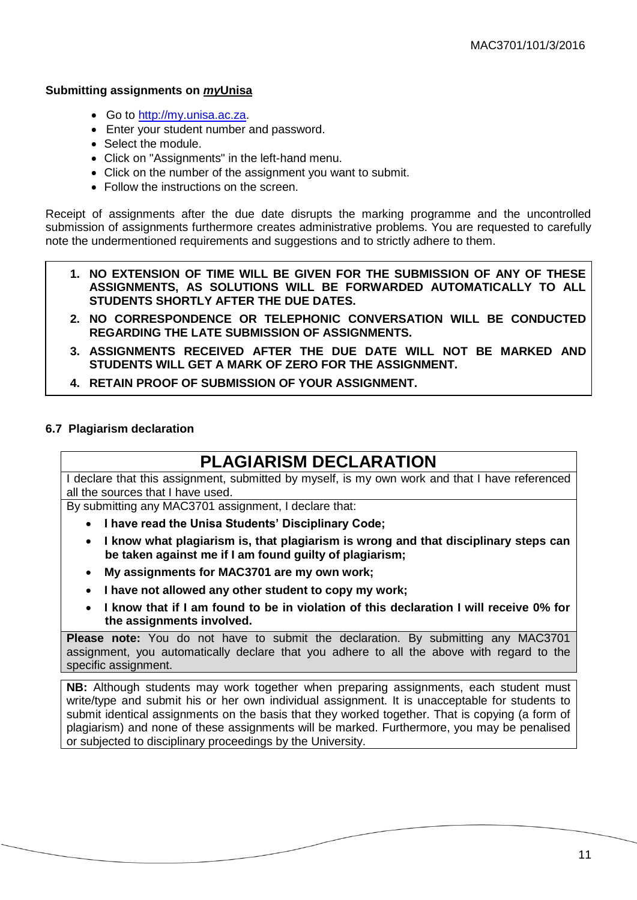#### **Submitting assignments on** *my***Unisa**

- Go to [http://my.unisa.ac.za.](http://my.unisa.ac.za/)
- Enter your student number and password.
- Select the module.
- Click on "Assignments" in the left-hand menu.
- Click on the number of the assignment you want to submit.
- Follow the instructions on the screen.

Receipt of assignments after the due date disrupts the marking programme and the uncontrolled submission of assignments furthermore creates administrative problems. You are requested to carefully note the undermentioned requirements and suggestions and to strictly adhere to them.

- **1. NO EXTENSION OF TIME WILL BE GIVEN FOR THE SUBMISSION OF ANY OF THESE ASSIGNMENTS, AS SOLUTIONS WILL BE FORWARDED AUTOMATICALLY TO ALL STUDENTS SHORTLY AFTER THE DUE DATES.**
- **2. NO CORRESPONDENCE OR TELEPHONIC CONVERSATION WILL BE CONDUCTED REGARDING THE LATE SUBMISSION OF ASSIGNMENTS.**
- **3. ASSIGNMENTS RECEIVED AFTER THE DUE DATE WILL NOT BE MARKED AND STUDENTS WILL GET A MARK OF ZERO FOR THE ASSIGNMENT.**
- **4. RETAIN PROOF OF SUBMISSION OF YOUR ASSIGNMENT.**

#### <span id="page-10-0"></span>**6.7 Plagiarism declaration**

## **PLAGIARISM DECLARATION**

I declare that this assignment, submitted by myself, is my own work and that I have referenced all the sources that I have used.

By submitting any MAC3701 assignment, I declare that:

- **I have read the Unisa Students' Disciplinary Code;**
- **I know what plagiarism is, that plagiarism is wrong and that disciplinary steps can be taken against me if I am found guilty of plagiarism;**
- **My assignments for MAC3701 are my own work;**
- **I have not allowed any other student to copy my work;**
- **I know that if I am found to be in violation of this declaration I will receive 0% for the assignments involved.**

**Please note:** You do not have to submit the declaration. By submitting any MAC3701 assignment, you automatically declare that you adhere to all the above with regard to the specific assignment.

**NB:** Although students may work together when preparing assignments, each student must write/type and submit his or her own individual assignment. It is unacceptable for students to submit identical assignments on the basis that they worked together. That is copying (a form of plagiarism) and none of these assignments will be marked. Furthermore, you may be penalised or subjected to disciplinary proceedings by the University.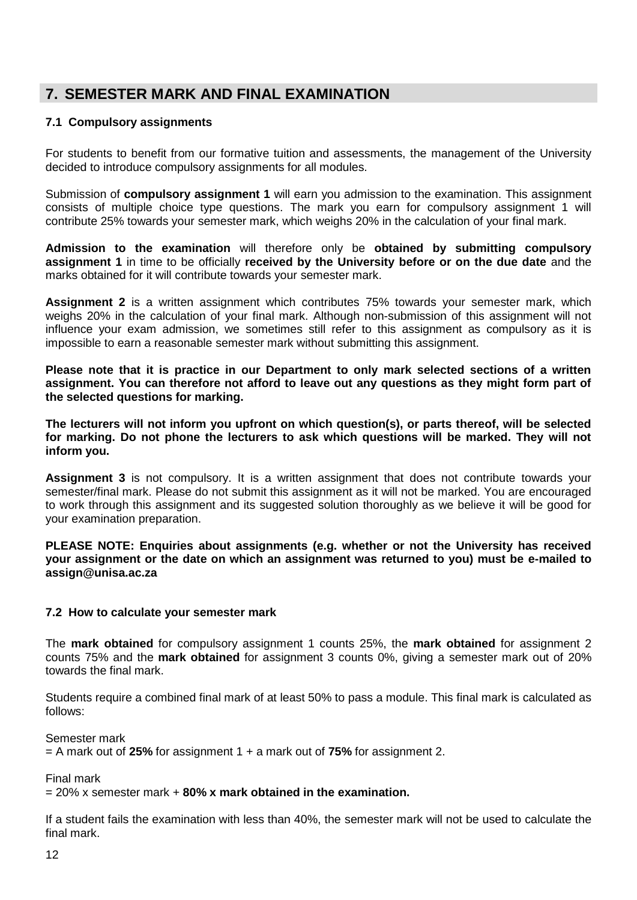## <span id="page-11-0"></span>**7. SEMESTER MARK AND FINAL EXAMINATION**

#### <span id="page-11-1"></span>**7.1 Compulsory assignments**

For students to benefit from our formative tuition and assessments, the management of the University decided to introduce compulsory assignments for all modules.

Submission of **compulsory assignment 1** will earn you admission to the examination. This assignment consists of multiple choice type questions. The mark you earn for compulsory assignment 1 will contribute 25% towards your semester mark, which weighs 20% in the calculation of your final mark.

**Admission to the examination** will therefore only be **obtained by submitting compulsory assignment 1** in time to be officially **received by the University before or on the due date** and the marks obtained for it will contribute towards your semester mark.

**Assignment 2** is a written assignment which contributes 75% towards your semester mark, which weighs 20% in the calculation of your final mark. Although non-submission of this assignment will not influence your exam admission, we sometimes still refer to this assignment as compulsory as it is impossible to earn a reasonable semester mark without submitting this assignment.

**Please note that it is practice in our Department to only mark selected sections of a written assignment. You can therefore not afford to leave out any questions as they might form part of the selected questions for marking.**

**The lecturers will not inform you upfront on which question(s), or parts thereof, will be selected for marking. Do not phone the lecturers to ask which questions will be marked. They will not inform you.**

Assignment 3 is not compulsory. It is a written assignment that does not contribute towards your semester/final mark. Please do not submit this assignment as it will not be marked. You are encouraged to work through this assignment and its suggested solution thoroughly as we believe it will be good for your examination preparation.

#### **PLEASE NOTE: Enquiries about assignments (e.g. whether or not the University has received your assignment or the date on which an assignment was returned to you) must be e-mailed to assign@unisa.ac.za**

#### <span id="page-11-2"></span>**7.2 How to calculate your semester mark**

The **mark obtained** for compulsory assignment 1 counts 25%, the **mark obtained** for assignment 2 counts 75% and the **mark obtained** for assignment 3 counts 0%, giving a semester mark out of 20% towards the final mark.

Students require a combined final mark of at least 50% to pass a module. This final mark is calculated as follows:

Semester mark

= A mark out of **25%** for assignment 1 + a mark out of **75%** for assignment 2.

Final mark

= 20% x semester mark + **80% x mark obtained in the examination.**

If a student fails the examination with less than 40%, the semester mark will not be used to calculate the final mark.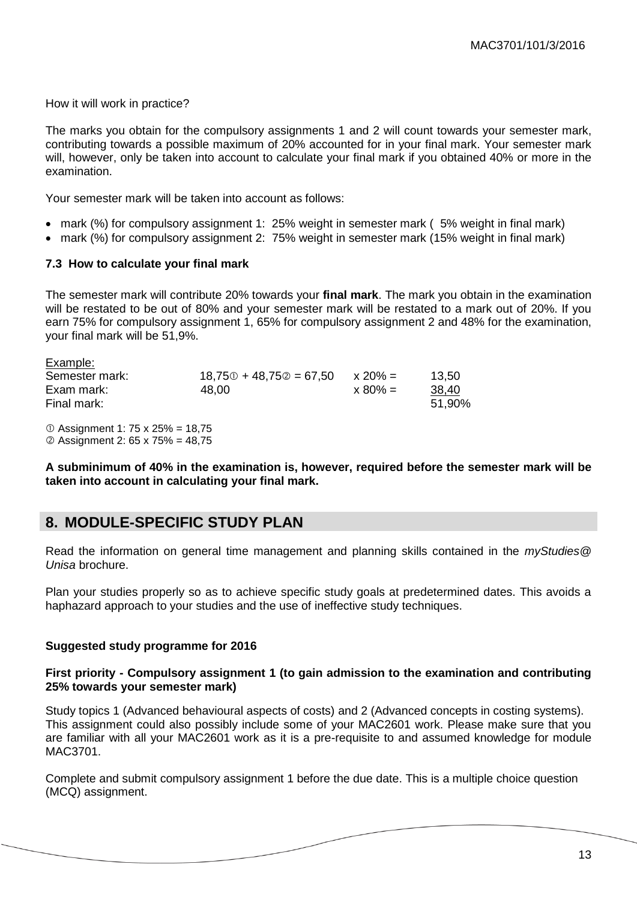How it will work in practice?

The marks you obtain for the compulsory assignments 1 and 2 will count towards your semester mark, contributing towards a possible maximum of 20% accounted for in your final mark. Your semester mark will, however, only be taken into account to calculate your final mark if you obtained 40% or more in the examination.

Your semester mark will be taken into account as follows:

- mark (%) for compulsory assignment 1: 25% weight in semester mark ( 5% weight in final mark)
- mark (%) for compulsory assignment 2: 75% weight in semester mark (15% weight in final mark)

#### <span id="page-12-0"></span>**7.3 How to calculate your final mark**

The semester mark will contribute 20% towards your **final mark**. The mark you obtain in the examination will be restated to be out of 80% and your semester mark will be restated to a mark out of 20%. If you earn 75% for compulsory assignment 1, 65% for compulsory assignment 2 and 48% for the examination, your final mark will be 51,9%.

| Example:       |                           |            |        |
|----------------|---------------------------|------------|--------|
| Semester mark: | $18,750 + 48,750 = 67,50$ | $x 20\% =$ | 13.50  |
| Exam mark:     | 48.00                     | $x 80\% =$ | 38,40  |
| Final mark:    |                           |            | 51,90% |
|                |                           |            |        |

 $O$  Assignment 1: 75 x 25% = 18.75 Assignment 2: 65 x 75% = 48,75

**A subminimum of 40% in the examination is, however, required before the semester mark will be taken into account in calculating your final mark.**

### <span id="page-12-1"></span>**8. MODULE-SPECIFIC STUDY PLAN**

Read the information on general time management and planning skills contained in the *myStudies@ Unisa* brochure.

Plan your studies properly so as to achieve specific study goals at predetermined dates. This avoids a haphazard approach to your studies and the use of ineffective study techniques.

#### **Suggested study programme for 2016**

#### **First priority - Compulsory assignment 1 (to gain admission to the examination and contributing 25% towards your semester mark)**

Study topics 1 (Advanced behavioural aspects of costs) and 2 (Advanced concepts in costing systems). This assignment could also possibly include some of your MAC2601 work. Please make sure that you are familiar with all your MAC2601 work as it is a pre-requisite to and assumed knowledge for module MAC3701.

Complete and submit compulsory assignment 1 before the due date. This is a multiple choice question (MCQ) assignment.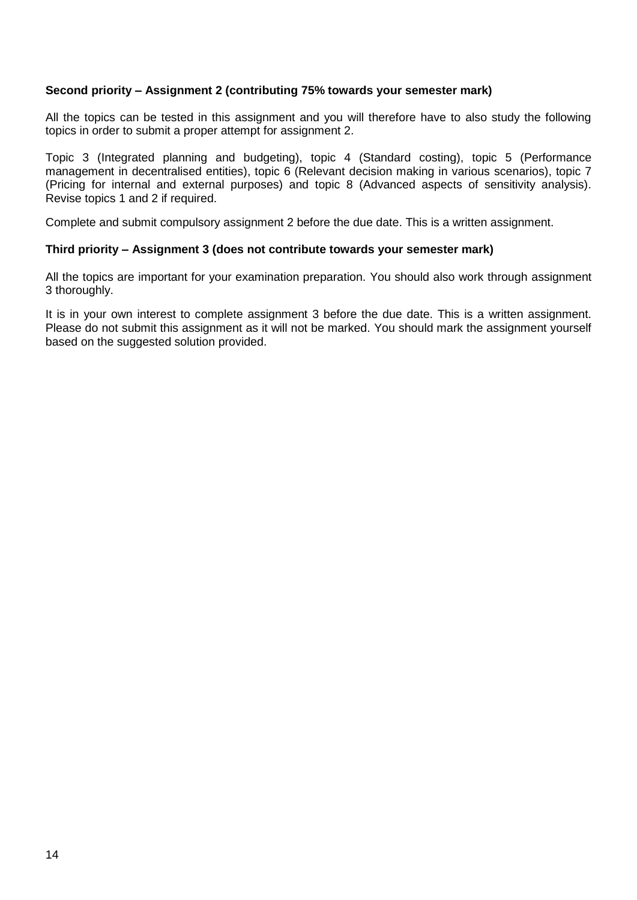#### **Second priority – Assignment 2 (contributing 75% towards your semester mark)**

All the topics can be tested in this assignment and you will therefore have to also study the following topics in order to submit a proper attempt for assignment 2.

Topic 3 (Integrated planning and budgeting), topic 4 (Standard costing), topic 5 (Performance management in decentralised entities), topic 6 (Relevant decision making in various scenarios), topic 7 (Pricing for internal and external purposes) and topic 8 (Advanced aspects of sensitivity analysis). Revise topics 1 and 2 if required.

Complete and submit compulsory assignment 2 before the due date. This is a written assignment.

#### **Third priority – Assignment 3 (does not contribute towards your semester mark)**

All the topics are important for your examination preparation. You should also work through assignment 3 thoroughly.

It is in your own interest to complete assignment 3 before the due date. This is a written assignment. Please do not submit this assignment as it will not be marked. You should mark the assignment yourself based on the suggested solution provided.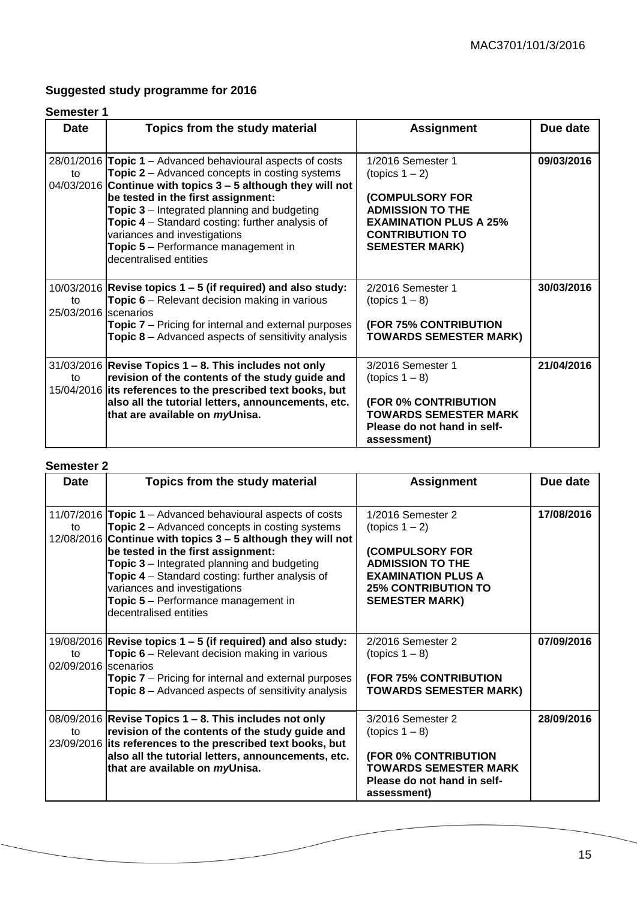## **Suggested study programme for 2016**

#### **Semester 1**

| <b>Date</b>                | Topics from the study material                                                                                                                                                                                                                                                                                                                                                                                                                 | <b>Assignment</b>                                                                                                                                                     | Due date   |
|----------------------------|------------------------------------------------------------------------------------------------------------------------------------------------------------------------------------------------------------------------------------------------------------------------------------------------------------------------------------------------------------------------------------------------------------------------------------------------|-----------------------------------------------------------------------------------------------------------------------------------------------------------------------|------------|
| to                         | 28/01/2016 Topic 1 – Advanced behavioural aspects of costs<br><b>Topic 2</b> – Advanced concepts in costing systems<br>$04/03/2016$ Continue with topics $3 - 5$ although they will not<br>be tested in the first assignment:<br>Topic 3 – Integrated planning and budgeting<br><b>Topic 4</b> – Standard costing: further analysis of<br>variances and investigations<br><b>Topic 5</b> – Performance management in<br>decentralised entities | 1/2016 Semester 1<br>(topics 1 – 2)<br>(COMPULSORY FOR<br><b>ADMISSION TO THE</b><br><b>EXAMINATION PLUS A 25%</b><br><b>CONTRIBUTION TO</b><br><b>SEMESTER MARK)</b> | 09/03/2016 |
| to<br>25/03/2016 scenarios | $10/03/2016$ Revise topics 1 – 5 (if required) and also study:<br>Topic 6 - Relevant decision making in various<br><b>Topic 7</b> – Pricing for internal and external purposes<br><b>Topic 8</b> – Advanced aspects of sensitivity analysis                                                                                                                                                                                                    | 2/2016 Semester 1<br>(topics $1 - 8$ )<br><b>(FOR 75% CONTRIBUTION</b><br><b>TOWARDS SEMESTER MARK)</b>                                                               | 30/03/2016 |
| to                         | $31/03/2016$ Revise Topics 1 – 8. This includes not only<br>revision of the contents of the study guide and<br>15/04/2016 its references to the prescribed text books, but<br>also all the tutorial letters, announcements, etc.<br>that are available on myUnisa.                                                                                                                                                                             | 3/2016 Semester 1<br>$(topics 1 - 8)$<br>(FOR 0% CONTRIBUTION<br><b>TOWARDS SEMESTER MARK</b><br>Please do not hand in self-<br>assessment)                           | 21/04/2016 |

#### **Semester 2**

| <b>Date</b>                | Topics from the study material                                                                                                                                                                                                                                                                                                                                                                                                             | <b>Assignment</b>                                                                                                                                                        | Due date   |
|----------------------------|--------------------------------------------------------------------------------------------------------------------------------------------------------------------------------------------------------------------------------------------------------------------------------------------------------------------------------------------------------------------------------------------------------------------------------------------|--------------------------------------------------------------------------------------------------------------------------------------------------------------------------|------------|
| to                         | 11/07/2016 Topic 1 – Advanced behavioural aspects of costs<br><b>Topic 2</b> – Advanced concepts in costing systems<br>12/08/2016 Continue with topics 3 - 5 although they will not<br>be tested in the first assignment:<br><b>Topic 3</b> – Integrated planning and budgeting<br><b>Topic 4</b> – Standard costing: further analysis of<br>variances and investigations<br>Topic 5 - Performance management in<br>decentralised entities | 1/2016 Semester 2<br>(topics $1 - 2$ )<br>(COMPULSORY FOR<br><b>ADMISSION TO THE</b><br><b>EXAMINATION PLUS A</b><br><b>25% CONTRIBUTION TO</b><br><b>SEMESTER MARK)</b> | 17/08/2016 |
| to<br>02/09/2016 scenarios | 19/08/2016 Revise topics $1 - 5$ (if required) and also study:<br><b>Topic 6</b> – Relevant decision making in various<br><b>Topic 7</b> – Pricing for internal and external purposes<br><b>Topic 8</b> – Advanced aspects of sensitivity analysis                                                                                                                                                                                         | 2/2016 Semester 2<br>$(topics 1 - 8)$<br><b>(FOR 75% CONTRIBUTION</b><br><b>TOWARDS SEMESTER MARK)</b>                                                                   | 07/09/2016 |
| to                         | $08/09/2016$ Revise Topics 1 – 8. This includes not only<br>revision of the contents of the study guide and<br>23/09/2016 its references to the prescribed text books, but<br>also all the tutorial letters, announcements, etc.<br>that are available on myUnisa.                                                                                                                                                                         | 3/2016 Semester 2<br>$(topics 1 - 8)$<br>(FOR 0% CONTRIBUTION<br><b>TOWARDS SEMESTER MARK</b><br>Please do not hand in self-<br>assessment)                              | 28/09/2016 |